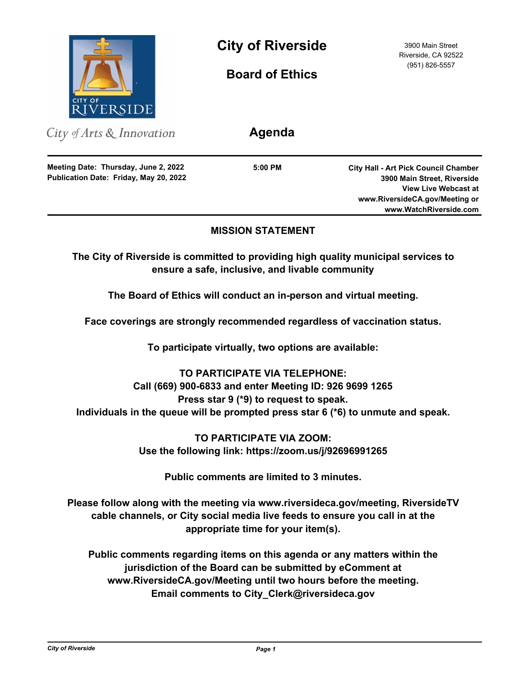

City of Arts & Innovation

**City of Riverside** 3900 Main Street

**Board of Ethics**

Riverside, CA 92522 (951) 826-5557

**Agenda**

**Publication Date: Friday, May 20, 2022 Meeting Date: Thursday, June 2, 2022**

**5:00 PM**

**City Hall - Art Pick Council Chamber 3900 Main Street, Riverside View Live Webcast at www.RiversideCA.gov/Meeting or www.WatchRiverside.com**

# **MISSION STATEMENT**

**The City of Riverside is committed to providing high quality municipal services to ensure a safe, inclusive, and livable community**

**The Board of Ethics will conduct an in-person and virtual meeting.** 

**Face coverings are strongly recommended regardless of vaccination status.**

**To participate virtually, two options are available:** 

**TO PARTICIPATE VIA TELEPHONE: Call (669) 900-6833 and enter Meeting ID: 926 9699 1265 Press star 9 (\*9) to request to speak. Individuals in the queue will be prompted press star 6 (\*6) to unmute and speak.**

> **TO PARTICIPATE VIA ZOOM: Use the following link: https://zoom.us/j/92696991265**

> > **Public comments are limited to 3 minutes.**

**Please follow along with the meeting via www.riversideca.gov/meeting, RiversideTV cable channels, or City social media live feeds to ensure you call in at the appropriate time for your item(s).**

**Public comments regarding items on this agenda or any matters within the jurisdiction of the Board can be submitted by eComment at www.RiversideCA.gov/Meeting until two hours before the meeting. Email comments to City\_Clerk@riversideca.gov**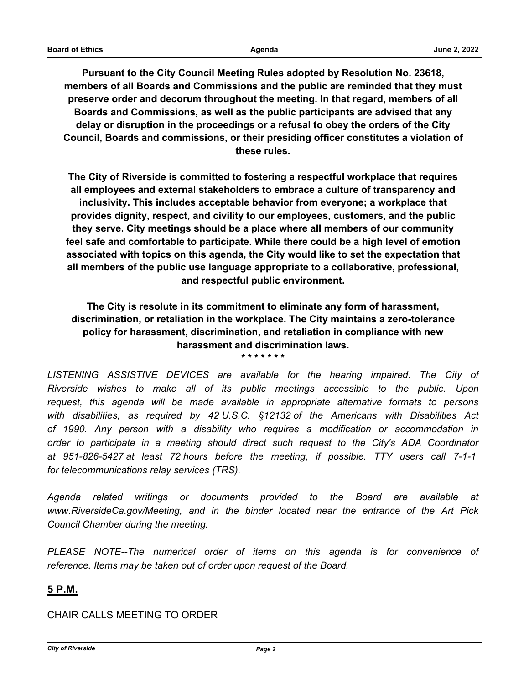**Pursuant to the City Council Meeting Rules adopted by Resolution No. 23618, members of all Boards and Commissions and the public are reminded that they must preserve order and decorum throughout the meeting. In that regard, members of all Boards and Commissions, as well as the public participants are advised that any delay or disruption in the proceedings or a refusal to obey the orders of the City Council, Boards and commissions, or their presiding officer constitutes a violation of these rules.**

**The City of Riverside is committed to fostering a respectful workplace that requires all employees and external stakeholders to embrace a culture of transparency and inclusivity. This includes acceptable behavior from everyone; a workplace that provides dignity, respect, and civility to our employees, customers, and the public they serve. City meetings should be a place where all members of our community feel safe and comfortable to participate. While there could be a high level of emotion associated with topics on this agenda, the City would like to set the expectation that all members of the public use language appropriate to a collaborative, professional, and respectful public environment.**

**The City is resolute in its commitment to eliminate any form of harassment, discrimination, or retaliation in the workplace. The City maintains a zero-tolerance policy for harassment, discrimination, and retaliation in compliance with new harassment and discrimination laws.**

**\* \* \* \* \* \* \***

LISTENING ASSISTIVE DEVICES are available for the hearing impaired. The City of *Riverside wishes to make all of its public meetings accessible to the public. Upon request, this agenda will be made available in appropriate alternative formats to persons with disabilities, as required by 42 U.S.C. §12132 of the Americans with Disabilities Act of 1990. Any person with a disability who requires a modification or accommodation in order to participate in a meeting should direct such request to the City's ADA Coordinator at 951-826-5427 at least 72 hours before the meeting, if possible. TTY users call 7-1-1 for telecommunications relay services (TRS).*

*Agenda related writings or documents provided to the Board are available at www.RiversideCa.gov/Meeting, and in the binder located near the entrance of the Art Pick Council Chamber during the meeting.*

*PLEASE NOTE--The numerical order of items on this agenda is for convenience of reference. Items may be taken out of order upon request of the Board.*

## **5 P.M.**

## CHAIR CALLS MEETING TO ORDER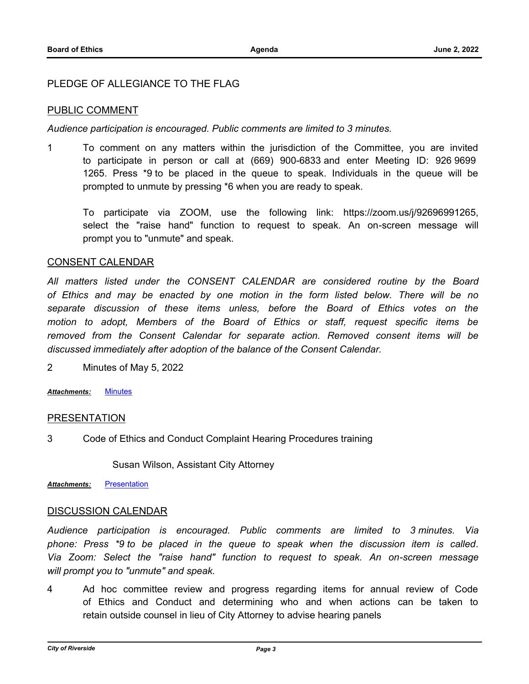### PLEDGE OF ALLEGIANCE TO THE FLAG

#### PUBLIC COMMENT

*Audience participation is encouraged. Public comments are limited to 3 minutes.*

1 To comment on any matters within the jurisdiction of the Committee, you are invited to participate in person or call at (669) 900-6833 and enter Meeting ID: 926 9699 1265. Press \*9 to be placed in the queue to speak. Individuals in the queue will be prompted to unmute by pressing \*6 when you are ready to speak.

To participate via ZOOM, use the following link: https://zoom.us/j/92696991265, select the "raise hand" function to request to speak. An on-screen message will prompt you to "unmute" and speak.

#### CONSENT CALENDAR

All matters listed under the CONSENT CALENDAR are considered routine by the Board *of Ethics and may be enacted by one motion in the form listed below. There will be no separate discussion of these items unless, before the Board of Ethics votes on the motion to adopt, Members of the Board of Ethics or staff, request specific items be removed from the Consent Calendar for separate action. Removed consent items will be discussed immediately after adoption of the balance of the Consent Calendar.*

2 Minutes of May 5, 2022

*Attachments:* [Minutes](http://riversideca.legistar.com/gateway.aspx?M=F&ID=c11697d6-3f71-43b7-8ce9-2816b328bfb4.docx)

#### PRESENTATION

3 Code of Ethics and Conduct Complaint Hearing Procedures training

Susan Wilson, Assistant City Attorney

*Attachments:* [Presentation](http://riversideca.legistar.com/gateway.aspx?M=F&ID=2e7be9bd-9ae0-4ed6-8d63-d7a27e9edac7.pdf)

### DISCUSSION CALENDAR

*Audience participation is encouraged. Public comments are limited to 3 minutes. Via phone: Press \*9 to be placed in the queue to speak when the discussion item is called. Via Zoom: Select the "raise hand" function to request to speak. An on-screen message will prompt you to "unmute" and speak.*

4 Ad hoc committee review and progress regarding items for annual review of Code of Ethics and Conduct and determining who and when actions can be taken to retain outside counsel in lieu of City Attorney to advise hearing panels